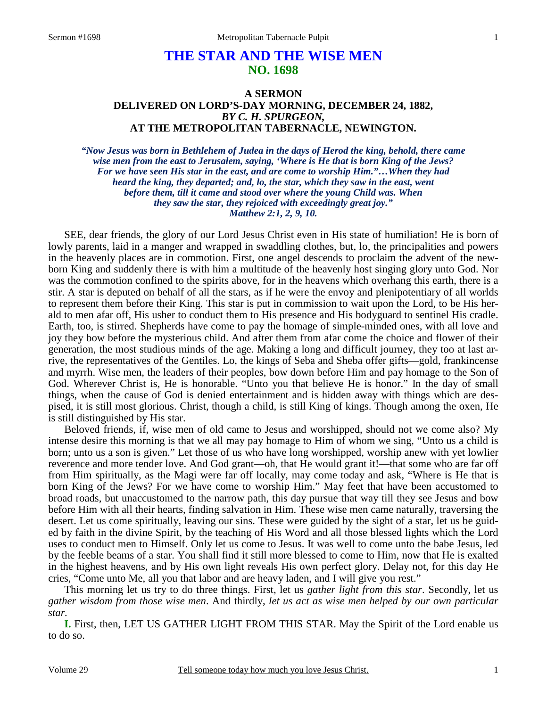## **THE STAR AND THE WISE MEN NO. 1698**

## **A SERMON DELIVERED ON LORD'S-DAY MORNING, DECEMBER 24, 1882,** *BY C. H. SPURGEON,*  **AT THE METROPOLITAN TABERNACLE, NEWINGTON.**

*"Now Jesus was born in Bethlehem of Judea in the days of Herod the king, behold, there came wise men from the east to Jerusalem, saying, 'Where is He that is born King of the Jews? For we have seen His star in the east, and are come to worship Him."…When they had heard the king, they departed; and, lo, the star, which they saw in the east, went before them, till it came and stood over where the young Child was. When they saw the star, they rejoiced with exceedingly great joy." Matthew 2:1, 2, 9, 10.* 

SEE, dear friends, the glory of our Lord Jesus Christ even in His state of humiliation! He is born of lowly parents, laid in a manger and wrapped in swaddling clothes, but, lo, the principalities and powers in the heavenly places are in commotion. First, one angel descends to proclaim the advent of the newborn King and suddenly there is with him a multitude of the heavenly host singing glory unto God. Nor was the commotion confined to the spirits above, for in the heavens which overhang this earth, there is a stir. A star is deputed on behalf of all the stars, as if he were the envoy and plenipotentiary of all worlds to represent them before their King. This star is put in commission to wait upon the Lord, to be His herald to men afar off, His usher to conduct them to His presence and His bodyguard to sentinel His cradle. Earth, too, is stirred. Shepherds have come to pay the homage of simple-minded ones, with all love and joy they bow before the mysterious child. And after them from afar come the choice and flower of their generation, the most studious minds of the age. Making a long and difficult journey, they too at last arrive, the representatives of the Gentiles. Lo, the kings of Seba and Sheba offer gifts—gold, frankincense and myrrh. Wise men, the leaders of their peoples, bow down before Him and pay homage to the Son of God. Wherever Christ is, He is honorable. "Unto you that believe He is honor." In the day of small things, when the cause of God is denied entertainment and is hidden away with things which are despised, it is still most glorious. Christ, though a child, is still King of kings. Though among the oxen, He is still distinguished by His star.

 Beloved friends, if, wise men of old came to Jesus and worshipped, should not we come also? My intense desire this morning is that we all may pay homage to Him of whom we sing, "Unto us a child is born; unto us a son is given." Let those of us who have long worshipped, worship anew with yet lowlier reverence and more tender love. And God grant—oh, that He would grant it!—that some who are far off from Him spiritually, as the Magi were far off locally, may come today and ask, "Where is He that is born King of the Jews? For we have come to worship Him." May feet that have been accustomed to broad roads, but unaccustomed to the narrow path, this day pursue that way till they see Jesus and bow before Him with all their hearts, finding salvation in Him. These wise men came naturally, traversing the desert. Let us come spiritually, leaving our sins. These were guided by the sight of a star, let us be guided by faith in the divine Spirit, by the teaching of His Word and all those blessed lights which the Lord uses to conduct men to Himself. Only let us come to Jesus. It was well to come unto the babe Jesus, led by the feeble beams of a star. You shall find it still more blessed to come to Him, now that He is exalted in the highest heavens, and by His own light reveals His own perfect glory. Delay not, for this day He cries, "Come unto Me, all you that labor and are heavy laden, and I will give you rest."

 This morning let us try to do three things. First, let us *gather light from this star*. Secondly, let us *gather wisdom from those wise men*. And thirdly, *let us act as wise men helped by our own particular star.* 

**I.** First, then, LET US GATHER LIGHT FROM THIS STAR. May the Spirit of the Lord enable us to do so.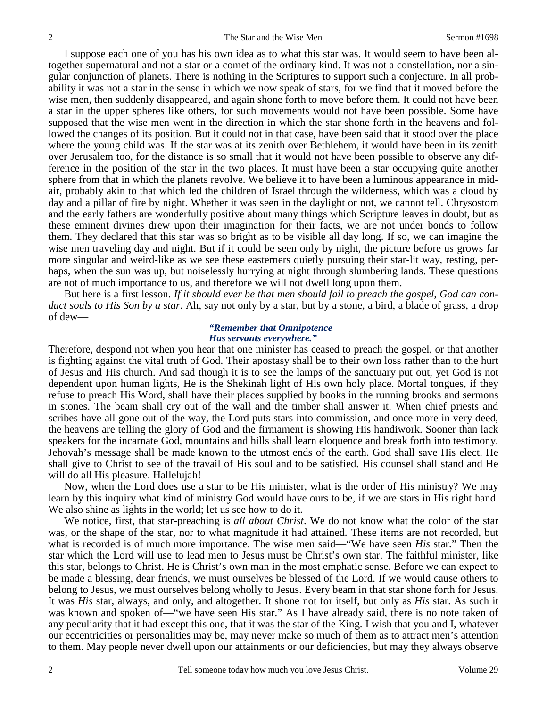I suppose each one of you has his own idea as to what this star was. It would seem to have been altogether supernatural and not a star or a comet of the ordinary kind. It was not a constellation, nor a singular conjunction of planets. There is nothing in the Scriptures to support such a conjecture. In all probability it was not a star in the sense in which we now speak of stars, for we find that it moved before the wise men, then suddenly disappeared, and again shone forth to move before them. It could not have been a star in the upper spheres like others, for such movements would not have been possible. Some have supposed that the wise men went in the direction in which the star shone forth in the heavens and followed the changes of its position. But it could not in that case, have been said that it stood over the place where the young child was. If the star was at its zenith over Bethlehem, it would have been in its zenith over Jerusalem too, for the distance is so small that it would not have been possible to observe any difference in the position of the star in the two places. It must have been a star occupying quite another sphere from that in which the planets revolve. We believe it to have been a luminous appearance in midair, probably akin to that which led the children of Israel through the wilderness, which was a cloud by day and a pillar of fire by night. Whether it was seen in the daylight or not, we cannot tell. Chrysostom and the early fathers are wonderfully positive about many things which Scripture leaves in doubt, but as these eminent divines drew upon their imagination for their facts, we are not under bonds to follow them. They declared that this star was so bright as to be visible all day long. If so, we can imagine the wise men traveling day and night. But if it could be seen only by night, the picture before us grows far more singular and weird-like as we see these easterners quietly pursuing their star-lit way, resting, perhaps, when the sun was up, but noiselessly hurrying at night through slumbering lands. These questions are not of much importance to us, and therefore we will not dwell long upon them.

 But here is a first lesson. *If it should ever be that men should fail to preach the gospel, God can conduct souls to His Son by a star*. Ah, say not only by a star, but by a stone, a bird, a blade of grass, a drop of dew—

## *"Remember that Omnipotence Has servants everywhere."*

Therefore, despond not when you hear that one minister has ceased to preach the gospel, or that another is fighting against the vital truth of God. Their apostasy shall be to their own loss rather than to the hurt of Jesus and His church. And sad though it is to see the lamps of the sanctuary put out, yet God is not dependent upon human lights, He is the Shekinah light of His own holy place. Mortal tongues, if they refuse to preach His Word, shall have their places supplied by books in the running brooks and sermons in stones. The beam shall cry out of the wall and the timber shall answer it. When chief priests and scribes have all gone out of the way, the Lord puts stars into commission, and once more in very deed, the heavens are telling the glory of God and the firmament is showing His handiwork. Sooner than lack speakers for the incarnate God, mountains and hills shall learn eloquence and break forth into testimony. Jehovah's message shall be made known to the utmost ends of the earth. God shall save His elect. He shall give to Christ to see of the travail of His soul and to be satisfied. His counsel shall stand and He will do all His pleasure. Hallelujah!

 Now, when the Lord does use a star to be His minister, what is the order of His ministry? We may learn by this inquiry what kind of ministry God would have ours to be, if we are stars in His right hand. We also shine as lights in the world; let us see how to do it.

 We notice, first, that star-preaching is *all about Christ*. We do not know what the color of the star was, or the shape of the star, nor to what magnitude it had attained. These items are not recorded, but what is recorded is of much more importance. The wise men said—"We have seen *His* star." Then the star which the Lord will use to lead men to Jesus must be Christ's own star. The faithful minister, like this star, belongs to Christ. He is Christ's own man in the most emphatic sense. Before we can expect to be made a blessing, dear friends, we must ourselves be blessed of the Lord. If we would cause others to belong to Jesus, we must ourselves belong wholly to Jesus. Every beam in that star shone forth for Jesus. It was *His* star, always, and only, and altogether. It shone not for itself, but only as *His* star. As such it was known and spoken of—"we have seen His star." As I have already said, there is no note taken of any peculiarity that it had except this one, that it was the star of the King. I wish that you and I, whatever our eccentricities or personalities may be, may never make so much of them as to attract men's attention to them. May people never dwell upon our attainments or our deficiencies, but may they always observe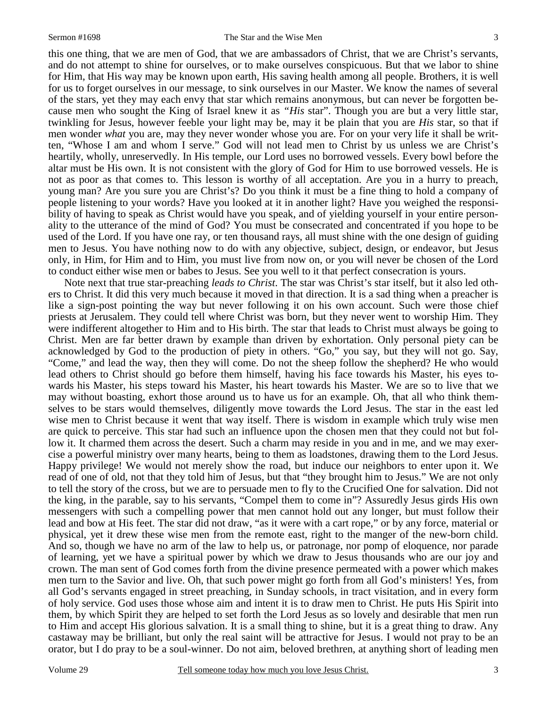this one thing, that we are men of God, that we are ambassadors of Christ, that we are Christ's servants, and do not attempt to shine for ourselves, or to make ourselves conspicuous. But that we labor to shine for Him, that His way may be known upon earth, His saving health among all people. Brothers, it is well for us to forget ourselves in our message, to sink ourselves in our Master. We know the names of several of the stars, yet they may each envy that star which remains anonymous, but can never be forgotten because men who sought the King of Israel knew it as *"His* star". Though you are but a very little star, twinkling for Jesus, however feeble your light may be, may it be plain that you are *His* star, so that if men wonder *what* you are, may they never wonder whose you are. For on your very life it shall be written, "Whose I am and whom I serve." God will not lead men to Christ by us unless we are Christ's heartily, wholly, unreservedly. In His temple, our Lord uses no borrowed vessels. Every bowl before the altar must be His own. It is not consistent with the glory of God for Him to use borrowed vessels. He is not as poor as that comes to. This lesson is worthy of all acceptation. Are you in a hurry to preach, young man? Are you sure you are Christ's? Do you think it must be a fine thing to hold a company of people listening to your words? Have you looked at it in another light? Have you weighed the responsibility of having to speak as Christ would have you speak, and of yielding yourself in your entire personality to the utterance of the mind of God? You must be consecrated and concentrated if you hope to be used of the Lord. If you have one ray, or ten thousand rays, all must shine with the one design of guiding men to Jesus. You have nothing now to do with any objective, subject, design, or endeavor, but Jesus only, in Him, for Him and to Him, you must live from now on, or you will never be chosen of the Lord to conduct either wise men or babes to Jesus. See you well to it that perfect consecration is yours.

 Note next that true star-preaching *leads to Christ*. The star was Christ's star itself, but it also led others to Christ. It did this very much because it moved in that direction. It is a sad thing when a preacher is like a sign-post pointing the way but never following it on his own account. Such were those chief priests at Jerusalem. They could tell where Christ was born, but they never went to worship Him. They were indifferent altogether to Him and to His birth. The star that leads to Christ must always be going to Christ. Men are far better drawn by example than driven by exhortation. Only personal piety can be acknowledged by God to the production of piety in others. "Go," you say, but they will not go. Say, "Come," and lead the way, then they will come. Do not the sheep follow the shepherd? He who would lead others to Christ should go before them himself, having his face towards his Master, his eyes towards his Master, his steps toward his Master, his heart towards his Master. We are so to live that we may without boasting, exhort those around us to have us for an example. Oh, that all who think themselves to be stars would themselves, diligently move towards the Lord Jesus. The star in the east led wise men to Christ because it went that way itself. There is wisdom in example which truly wise men are quick to perceive. This star had such an influence upon the chosen men that they could not but follow it. It charmed them across the desert. Such a charm may reside in you and in me, and we may exercise a powerful ministry over many hearts, being to them as loadstones, drawing them to the Lord Jesus. Happy privilege! We would not merely show the road, but induce our neighbors to enter upon it. We read of one of old, not that they told him of Jesus, but that "they brought him to Jesus." We are not only to tell the story of the cross, but we are to persuade men to fly to the Crucified One for salvation. Did not the king, in the parable, say to his servants, "Compel them to come in"? Assuredly Jesus girds His own messengers with such a compelling power that men cannot hold out any longer, but must follow their lead and bow at His feet. The star did not draw, "as it were with a cart rope," or by any force, material or physical, yet it drew these wise men from the remote east, right to the manger of the new-born child. And so, though we have no arm of the law to help us, or patronage, nor pomp of eloquence, nor parade of learning, yet we have a spiritual power by which we draw to Jesus thousands who are our joy and crown. The man sent of God comes forth from the divine presence permeated with a power which makes men turn to the Savior and live. Oh, that such power might go forth from all God's ministers! Yes, from all God's servants engaged in street preaching, in Sunday schools, in tract visitation, and in every form of holy service. God uses those whose aim and intent it is to draw men to Christ. He puts His Spirit into them, by which Spirit they are helped to set forth the Lord Jesus as so lovely and desirable that men run to Him and accept His glorious salvation. It is a small thing to shine, but it is a great thing to draw. Any castaway may be brilliant, but only the real saint will be attractive for Jesus. I would not pray to be an orator, but I do pray to be a soul-winner. Do not aim, beloved brethren, at anything short of leading men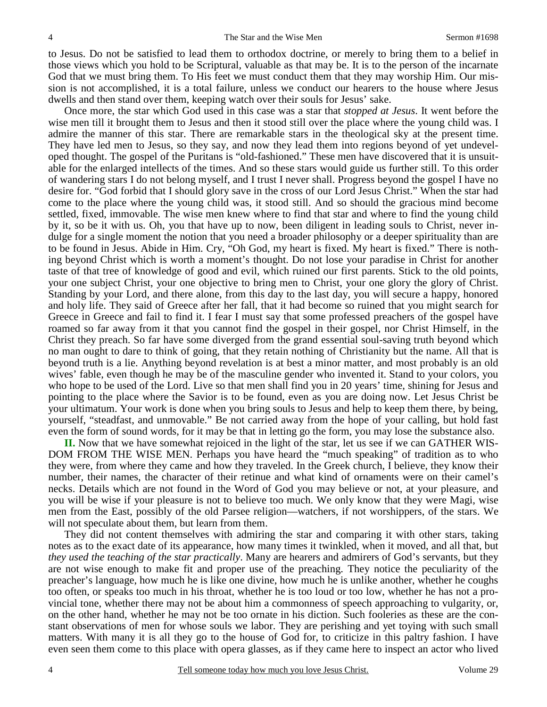to Jesus. Do not be satisfied to lead them to orthodox doctrine, or merely to bring them to a belief in those views which you hold to be Scriptural, valuable as that may be. It is to the person of the incarnate God that we must bring them. To His feet we must conduct them that they may worship Him. Our mission is not accomplished, it is a total failure, unless we conduct our hearers to the house where Jesus dwells and then stand over them, keeping watch over their souls for Jesus' sake.

 Once more, the star which God used in this case was a star that *stopped at Jesus*. It went before the wise men till it brought them to Jesus and then it stood still over the place where the young child was. I admire the manner of this star. There are remarkable stars in the theological sky at the present time. They have led men to Jesus, so they say, and now they lead them into regions beyond of yet undeveloped thought. The gospel of the Puritans is "old-fashioned." These men have discovered that it is unsuitable for the enlarged intellects of the times. And so these stars would guide us further still. To this order of wandering stars I do not belong myself, and I trust I never shall. Progress beyond the gospel I have no desire for. "God forbid that I should glory save in the cross of our Lord Jesus Christ." When the star had come to the place where the young child was, it stood still. And so should the gracious mind become settled, fixed, immovable. The wise men knew where to find that star and where to find the young child by it, so be it with us. Oh, you that have up to now, been diligent in leading souls to Christ, never indulge for a single moment the notion that you need a broader philosophy or a deeper spirituality than are to be found in Jesus. Abide in Him. Cry, "Oh God, my heart is fixed. My heart is fixed." There is nothing beyond Christ which is worth a moment's thought. Do not lose your paradise in Christ for another taste of that tree of knowledge of good and evil, which ruined our first parents. Stick to the old points, your one subject Christ, your one objective to bring men to Christ, your one glory the glory of Christ. Standing by your Lord, and there alone, from this day to the last day, you will secure a happy, honored and holy life. They said of Greece after her fall, that it had become so ruined that you might search for Greece in Greece and fail to find it. I fear I must say that some professed preachers of the gospel have roamed so far away from it that you cannot find the gospel in their gospel, nor Christ Himself, in the Christ they preach. So far have some diverged from the grand essential soul-saving truth beyond which no man ought to dare to think of going, that they retain nothing of Christianity but the name. All that is beyond truth is a lie. Anything beyond revelation is at best a minor matter, and most probably is an old wives' fable, even though he may be of the masculine gender who invented it. Stand to your colors, you who hope to be used of the Lord. Live so that men shall find you in 20 years' time, shining for Jesus and pointing to the place where the Savior is to be found, even as you are doing now. Let Jesus Christ be your ultimatum. Your work is done when you bring souls to Jesus and help to keep them there, by being, yourself, "steadfast, and unmovable." Be not carried away from the hope of your calling, but hold fast even the form of sound words, for it may be that in letting go the form, you may lose the substance also.

**II.** Now that we have somewhat rejoiced in the light of the star, let us see if we can GATHER WIS-DOM FROM THE WISE MEN. Perhaps you have heard the "much speaking" of tradition as to who they were, from where they came and how they traveled. In the Greek church, I believe, they know their number, their names, the character of their retinue and what kind of ornaments were on their camel's necks. Details which are not found in the Word of God you may believe or not, at your pleasure, and you will be wise if your pleasure is not to believe too much. We only know that they were Magi, wise men from the East, possibly of the old Parsee religion—watchers, if not worshippers, of the stars. We will not speculate about them, but learn from them.

 They did not content themselves with admiring the star and comparing it with other stars, taking notes as to the exact date of its appearance, how many times it twinkled, when it moved, and all that, but *they used the teaching of the star practically*. Many are hearers and admirers of God's servants, but they are not wise enough to make fit and proper use of the preaching. They notice the peculiarity of the preacher's language, how much he is like one divine, how much he is unlike another, whether he coughs too often, or speaks too much in his throat, whether he is too loud or too low, whether he has not a provincial tone, whether there may not be about him a commonness of speech approaching to vulgarity, or, on the other hand, whether he may not be too ornate in his diction. Such fooleries as these are the constant observations of men for whose souls we labor. They are perishing and yet toying with such small matters. With many it is all they go to the house of God for, to criticize in this paltry fashion. I have even seen them come to this place with opera glasses, as if they came here to inspect an actor who lived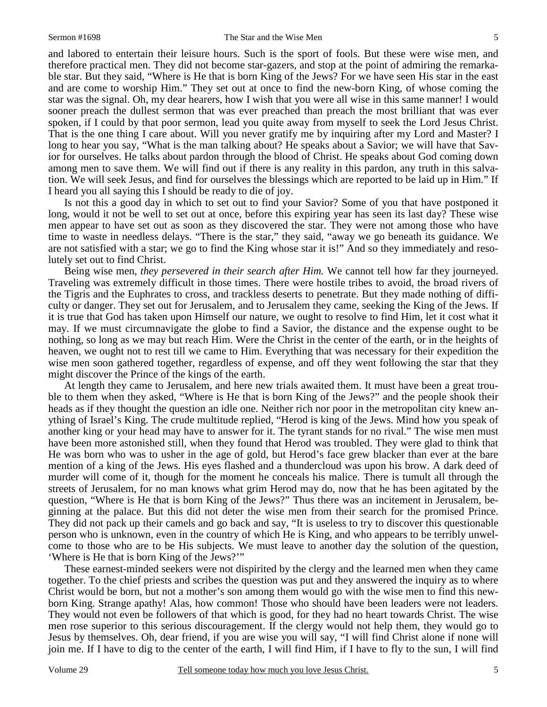and labored to entertain their leisure hours. Such is the sport of fools. But these were wise men, and therefore practical men. They did not become star-gazers, and stop at the point of admiring the remarkable star. But they said, "Where is He that is born King of the Jews? For we have seen His star in the east and are come to worship Him." They set out at once to find the new-born King, of whose coming the star was the signal. Oh, my dear hearers, how I wish that you were all wise in this same manner! I would sooner preach the dullest sermon that was ever preached than preach the most brilliant that was ever spoken, if I could by that poor sermon, lead you quite away from myself to seek the Lord Jesus Christ. That is the one thing I care about. Will you never gratify me by inquiring after my Lord and Master? I long to hear you say, "What is the man talking about? He speaks about a Savior; we will have that Savior for ourselves. He talks about pardon through the blood of Christ. He speaks about God coming down among men to save them. We will find out if there is any reality in this pardon, any truth in this salvation. We will seek Jesus, and find for ourselves the blessings which are reported to be laid up in Him." If I heard you all saying this I should be ready to die of joy.

 Is not this a good day in which to set out to find your Savior? Some of you that have postponed it long, would it not be well to set out at once, before this expiring year has seen its last day? These wise men appear to have set out as soon as they discovered the star. They were not among those who have time to waste in needless delays. "There is the star," they said, "away we go beneath its guidance. We are not satisfied with a star; we go to find the King whose star it is!" And so they immediately and resolutely set out to find Christ.

 Being wise men, *they persevered in their search after Him.* We cannot tell how far they journeyed. Traveling was extremely difficult in those times. There were hostile tribes to avoid, the broad rivers of the Tigris and the Euphrates to cross, and trackless deserts to penetrate. But they made nothing of difficulty or danger. They set out for Jerusalem, and to Jerusalem they came, seeking the King of the Jews. If it is true that God has taken upon Himself our nature, we ought to resolve to find Him, let it cost what it may. If we must circumnavigate the globe to find a Savior, the distance and the expense ought to be nothing, so long as we may but reach Him. Were the Christ in the center of the earth, or in the heights of heaven, we ought not to rest till we came to Him. Everything that was necessary for their expedition the wise men soon gathered together, regardless of expense, and off they went following the star that they might discover the Prince of the kings of the earth.

 At length they came to Jerusalem, and here new trials awaited them. It must have been a great trouble to them when they asked, "Where is He that is born King of the Jews?" and the people shook their heads as if they thought the question an idle one. Neither rich nor poor in the metropolitan city knew anything of Israel's King. The crude multitude replied, "Herod is king of the Jews. Mind how you speak of another king or your head may have to answer for it. The tyrant stands for no rival." The wise men must have been more astonished still, when they found that Herod was troubled. They were glad to think that He was born who was to usher in the age of gold, but Herod's face grew blacker than ever at the bare mention of a king of the Jews. His eyes flashed and a thundercloud was upon his brow. A dark deed of murder will come of it, though for the moment he conceals his malice. There is tumult all through the streets of Jerusalem, for no man knows what grim Herod may do, now that he has been agitated by the question, "Where is He that is born King of the Jews?" Thus there was an incitement in Jerusalem, beginning at the palace. But this did not deter the wise men from their search for the promised Prince. They did not pack up their camels and go back and say, "It is useless to try to discover this questionable person who is unknown, even in the country of which He is King, and who appears to be terribly unwelcome to those who are to be His subjects. We must leave to another day the solution of the question, 'Where is He that is born King of the Jews?'"

 These earnest-minded seekers were not dispirited by the clergy and the learned men when they came together. To the chief priests and scribes the question was put and they answered the inquiry as to where Christ would be born, but not a mother's son among them would go with the wise men to find this newborn King. Strange apathy! Alas, how common! Those who should have been leaders were not leaders. They would not even be followers of that which is good, for they had no heart towards Christ. The wise men rose superior to this serious discouragement. If the clergy would not help them, they would go to Jesus by themselves. Oh, dear friend, if you are wise you will say, "I will find Christ alone if none will join me. If I have to dig to the center of the earth, I will find Him, if I have to fly to the sun, I will find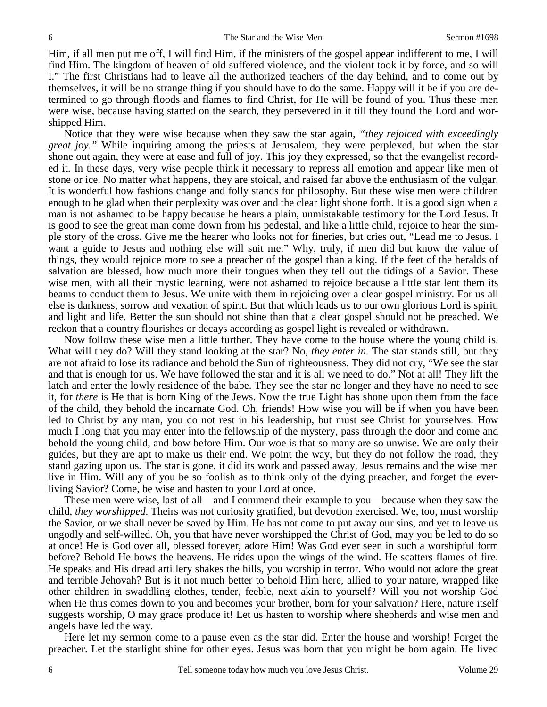Him, if all men put me off, I will find Him, if the ministers of the gospel appear indifferent to me, I will find Him. The kingdom of heaven of old suffered violence, and the violent took it by force, and so will I." The first Christians had to leave all the authorized teachers of the day behind, and to come out by themselves, it will be no strange thing if you should have to do the same. Happy will it be if you are determined to go through floods and flames to find Christ, for He will be found of you. Thus these men were wise, because having started on the search, they persevered in it till they found the Lord and worshipped Him.

 Notice that they were wise because when they saw the star again, *"they rejoiced with exceedingly great joy."* While inquiring among the priests at Jerusalem, they were perplexed, but when the star shone out again, they were at ease and full of joy. This joy they expressed, so that the evangelist recorded it. In these days, very wise people think it necessary to repress all emotion and appear like men of stone or ice. No matter what happens, they are stoical, and raised far above the enthusiasm of the vulgar. It is wonderful how fashions change and folly stands for philosophy. But these wise men were children enough to be glad when their perplexity was over and the clear light shone forth. It is a good sign when a man is not ashamed to be happy because he hears a plain, unmistakable testimony for the Lord Jesus. It is good to see the great man come down from his pedestal, and like a little child, rejoice to hear the simple story of the cross. Give me the hearer who looks not for fineries, but cries out, "Lead me to Jesus. I want a guide to Jesus and nothing else will suit me." Why, truly, if men did but know the value of things, they would rejoice more to see a preacher of the gospel than a king. If the feet of the heralds of salvation are blessed, how much more their tongues when they tell out the tidings of a Savior. These wise men, with all their mystic learning, were not ashamed to rejoice because a little star lent them its beams to conduct them to Jesus. We unite with them in rejoicing over a clear gospel ministry. For us all else is darkness, sorrow and vexation of spirit. But that which leads us to our own glorious Lord is spirit, and light and life. Better the sun should not shine than that a clear gospel should not be preached. We reckon that a country flourishes or decays according as gospel light is revealed or withdrawn.

 Now follow these wise men a little further. They have come to the house where the young child is. What will they do? Will they stand looking at the star? No, *they enter in.* The star stands still, but they are not afraid to lose its radiance and behold the Sun of righteousness. They did not cry, "We see the star and that is enough for us. We have followed the star and it is all we need to do." Not at all! They lift the latch and enter the lowly residence of the babe. They see the star no longer and they have no need to see it, for *there* is He that is born King of the Jews. Now the true Light has shone upon them from the face of the child, they behold the incarnate God. Oh, friends! How wise you will be if when you have been led to Christ by any man, you do not rest in his leadership, but must see Christ for yourselves. How much I long that you may enter into the fellowship of the mystery, pass through the door and come and behold the young child, and bow before Him. Our woe is that so many are so unwise. We are only their guides, but they are apt to make us their end. We point the way, but they do not follow the road, they stand gazing upon us*.* The star is gone, it did its work and passed away, Jesus remains and the wise men live in Him. Will any of you be so foolish as to think only of the dying preacher, and forget the everliving Savior? Come, be wise and hasten to your Lord at once.

 These men were wise, last of all—and I commend their example to you—because when they saw the child, *they worshipped*. Theirs was not curiosity gratified, but devotion exercised. We, too, must worship the Savior, or we shall never be saved by Him. He has not come to put away our sins, and yet to leave us ungodly and self-willed. Oh, you that have never worshipped the Christ of God, may you be led to do so at once! He is God over all, blessed forever, adore Him! Was God ever seen in such a worshipful form before? Behold He bows the heavens. He rides upon the wings of the wind. He scatters flames of fire. He speaks and His dread artillery shakes the hills, you worship in terror. Who would not adore the great and terrible Jehovah? But is it not much better to behold Him here, allied to your nature, wrapped like other children in swaddling clothes, tender, feeble, next akin to yourself? Will you not worship God when He thus comes down to you and becomes your brother, born for your salvation? Here, nature itself suggests worship, O may grace produce it! Let us hasten to worship where shepherds and wise men and angels have led the way.

 Here let my sermon come to a pause even as the star did. Enter the house and worship! Forget the preacher. Let the starlight shine for other eyes. Jesus was born that you might be born again. He lived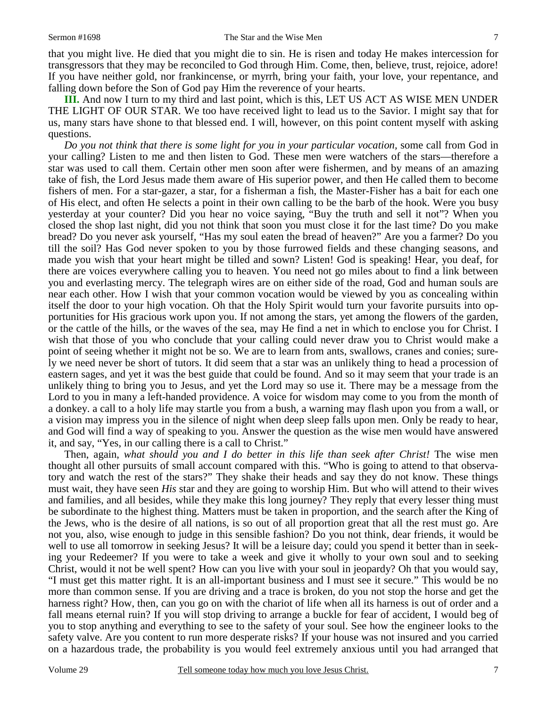that you might live. He died that you might die to sin. He is risen and today He makes intercession for transgressors that they may be reconciled to God through Him. Come, then, believe, trust, rejoice, adore! If you have neither gold, nor frankincense, or myrrh, bring your faith, your love, your repentance, and falling down before the Son of God pay Him the reverence of your hearts.

**III.** And now I turn to my third and last point, which is this, LET US ACT AS WISE MEN UNDER THE LIGHT OF OUR STAR. We too have received light to lead us to the Savior. I might say that for us, many stars have shone to that blessed end. I will, however, on this point content myself with asking questions.

*Do you not think that there is some light for you in your particular vocation,* some call from God in your calling? Listen to me and then listen to God. These men were watchers of the stars—therefore a star was used to call them. Certain other men soon after were fishermen, and by means of an amazing take of fish, the Lord Jesus made them aware of His superior power, and then He called them to become fishers of men. For a star-gazer, a star, for a fisherman a fish, the Master-Fisher has a bait for each one of His elect, and often He selects a point in their own calling to be the barb of the hook. Were you busy yesterday at your counter? Did you hear no voice saying, "Buy the truth and sell it not"? When you closed the shop last night, did you not think that soon you must close it for the last time? Do you make bread? Do you never ask yourself, "Has my soul eaten the bread of heaven?" Are you a farmer? Do you till the soil? Has God never spoken to you by those furrowed fields and these changing seasons, and made you wish that your heart might be tilled and sown? Listen! God is speaking! Hear, you deaf, for there are voices everywhere calling you to heaven. You need not go miles about to find a link between you and everlasting mercy. The telegraph wires are on either side of the road, God and human souls are near each other. How I wish that your common vocation would be viewed by you as concealing within itself the door to your high vocation. Oh that the Holy Spirit would turn your favorite pursuits into opportunities for His gracious work upon you. If not among the stars, yet among the flowers of the garden, or the cattle of the hills, or the waves of the sea, may He find a net in which to enclose you for Christ. I wish that those of you who conclude that your calling could never draw you to Christ would make a point of seeing whether it might not be so. We are to learn from ants, swallows, cranes and conies; surely we need never be short of tutors. It did seem that a star was an unlikely thing to head a procession of eastern sages, and yet it was the best guide that could be found. And so it may seem that your trade is an unlikely thing to bring you to Jesus, and yet the Lord may so use it. There may be a message from the Lord to you in many a left-handed providence. A voice for wisdom may come to you from the month of a donkey. a call to a holy life may startle you from a bush, a warning may flash upon you from a wall, or a vision may impress you in the silence of night when deep sleep falls upon men. Only be ready to hear, and God will find a way of speaking to you. Answer the question as the wise men would have answered it, and say, "Yes, in our calling there is a call to Christ."

 Then, again, *what should you and I do better in this life than seek after Christ!* The wise men thought all other pursuits of small account compared with this. "Who is going to attend to that observatory and watch the rest of the stars?" They shake their heads and say they do not know. These things must wait, they have seen *His* star and they are going to worship Him. But who will attend to their wives and families, and all besides, while they make this long journey? They reply that every lesser thing must be subordinate to the highest thing. Matters must be taken in proportion, and the search after the King of the Jews, who is the desire of all nations, is so out of all proportion great that all the rest must go. Are not you, also, wise enough to judge in this sensible fashion? Do you not think, dear friends, it would be well to use all tomorrow in seeking Jesus? It will be a leisure day; could you spend it better than in seeking your Redeemer? If you were to take a week and give it wholly to your own soul and to seeking Christ, would it not be well spent? How can you live with your soul in jeopardy? Oh that you would say, "I must get this matter right. It is an all-important business and I must see it secure." This would be no more than common sense. If you are driving and a trace is broken, do you not stop the horse and get the harness right? How, then, can you go on with the chariot of life when all its harness is out of order and a fall means eternal ruin? If you will stop driving to arrange a buckle for fear of accident, I would beg of you to stop anything and everything to see to the safety of your soul. See how the engineer looks to the safety valve. Are you content to run more desperate risks? If your house was not insured and you carried on a hazardous trade, the probability is you would feel extremely anxious until you had arranged that